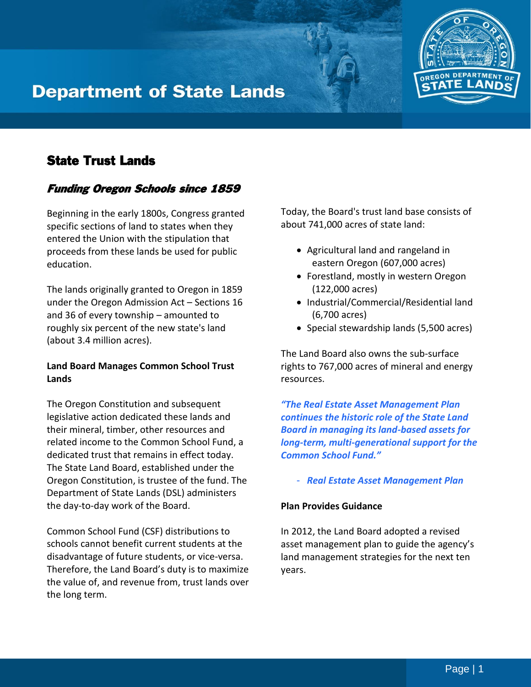# **Department of State Lands**



## Funding Oregon Schools since 1859

Beginning in the early 1800s, Congress granted specific sections of land to states when they entered the Union with the stipulation that proceeds from these lands be used for public education.

The lands originally granted to Oregon in 1859 under the Oregon Admission Act – Sections 16 and 36 of every township – amounted to roughly six percent of the new state's land (about 3.4 million acres).

### **Land Board Manages Common School Trust Lands**

The Oregon Constitution and subsequent legislative action dedicated these lands and their mineral, timber, other resources and related income to the Common School Fund, a dedicated trust that remains in effect today. The State Land Board, established under the Oregon Constitution, is trustee of the fund. The Department of State Lands (DSL) administers the day-to-day work of the Board.

Common School Fund (CSF) distributions to schools cannot benefit current students at the disadvantage of future students, or vice-versa. Therefore, the Land Board's duty is to maximize the value of, and revenue from, trust lands over the long term.

Today, the Board's trust land base consists of about 741,000 acres of state land:

- Agricultural land and rangeland in eastern Oregon (607,000 acres)
- Forestland, mostly in western Oregon (122,000 acres)
- Industrial/Commercial/Residential land (6,700 acres)
- Special stewardship lands (5,500 acres)

The Land Board also owns the sub-surface rights to 767,000 acres of mineral and energy resources.

*"The Real Estate Asset Management Plan continues the historic role of the State Land Board in managing its land-based assets for long-term, multi-generational support for the Common School Fund."*

- *Real Estate Asset Management Plan*

#### **Plan Provides Guidance**

In 2012, the Land Board adopted a revised asset management plan to guide the agency's land management strategies for the next ten years.